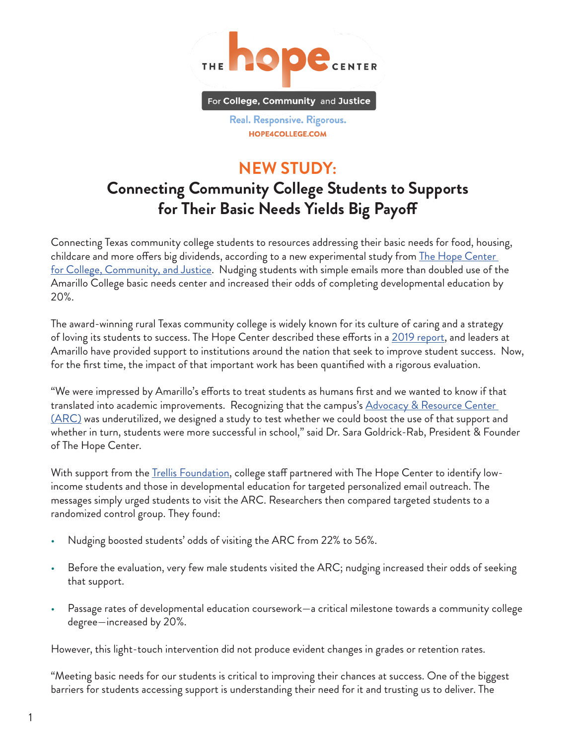

Real. Responsive. Rigorous. HOPE4COLLEGE.COM

## **NEW STUDY: Connecting Community College Students to Supports for Their Basic Needs Yields Big Payoff**

Connecting Texas community college students to resources addressing their basic needs for food, housing, childcare and more offers big dividends, according to a new experimental study from [The Hope Center](https://hope4college.com/)  [for College, Community, and Justice.](https://hope4college.com/) Nudging students with simple emails more than doubled use of the Amarillo College basic needs center and increased their odds of completing developmental education by 20%.

The award-winning rural Texas community college is widely known for its culture of caring and a strategy of loving its students to success. The Hope Center described these efforts in a [2019 report,](https://hope4college.com/supporting-community-college-completion-with-a-culture-of-caring-a-case-study-of-amarillo-college-2/) and leaders at Amarillo have provided support to institutions around the nation that seek to improve student success. Now, for the first time, the impact of that important work has been quantified with a rigorous evaluation.

"We were impressed by Amarillo's efforts to treat students as humans first and we wanted to know if that translated into academic improvements. Recognizing that the campus's Advocacy & Resource Center [\(ARC\)](https://www.actx.edu/arc/advocacy-and-resource-center) was underutilized, we designed a study to test whether we could boost the use of that support and whether in turn, students were more successful in school," said Dr. Sara Goldrick-Rab, President & Founder of The Hope Center.

With support from the <u>Trellis Foundation</u>, college staff partnered with The Hope Center to identify lowincome students and those in developmental education for targeted personalized email outreach. The messages simply urged students to visit the ARC. Researchers then compared targeted students to a randomized control group. They found:

- Nudging boosted students' odds of visiting the ARC from 22% to 56%.
- Before the evaluation, very few male students visited the ARC; nudging increased their odds of seeking that support.
- Passage rates of developmental education coursework—a critical milestone towards a community college degree—increased by 20%.

However, this light-touch intervention did not produce evident changes in grades or retention rates.

"Meeting basic needs for our students is critical to improving their chances at success. One of the biggest barriers for students accessing support is understanding their need for it and trusting us to deliver. The